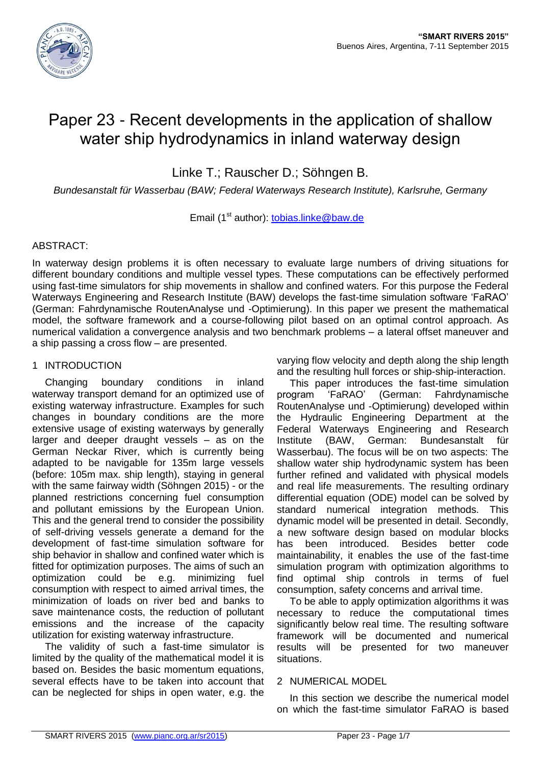

# Paper 23 - Recent developments in the application of shallow water ship hydrodynamics in inland waterway design

Linke T.; Rauscher D.; Söhngen B.

*Bundesanstalt für Wasserbau (BAW; Federal Waterways Research Institute), Karlsruhe, Germany*

Email (1<sup>st</sup> author): [tobias.linke@baw.de](mailto:tobias.linke@baw.de)

# ABSTRACT:

In waterway design problems it is often necessary to evaluate large numbers of driving situations for different boundary conditions and multiple vessel types. These computations can be effectively performed using fast-time simulators for ship movements in shallow and confined waters. For this purpose the Federal Waterways Engineering and Research Institute (BAW) develops the fast-time simulation software 'FaRAO' (German: Fahrdynamische RoutenAnalyse und -Optimierung). In this paper we present the mathematical model, the software framework and a course-following pilot based on an optimal control approach. As numerical validation a convergence analysis and two benchmark problems – a lateral offset maneuver and a ship passing a cross flow – are presented.

# 1 INTRODUCTION

Changing boundary conditions in inland waterway transport demand for an optimized use of existing waterway infrastructure. Examples for such changes in boundary conditions are the more extensive usage of existing waterways by generally larger and deeper draught vessels – as on the German Neckar River, which is currently being adapted to be navigable for 135m large vessels (before: 105m max. ship length), staying in general with the same fairway width (Söhngen 2015) - or the planned restrictions concerning fuel consumption and pollutant emissions by the European Union. This and the general trend to consider the possibility of self-driving vessels generate a demand for the development of fast-time simulation software for ship behavior in shallow and confined water which is fitted for optimization purposes. The aims of such an optimization could be e.g. minimizing fuel consumption with respect to aimed arrival times, the minimization of loads on river bed and banks to save maintenance costs, the reduction of pollutant emissions and the increase of the capacity utilization for existing waterway infrastructure.

The validity of such a fast-time simulator is limited by the quality of the mathematical model it is based on. Besides the basic momentum equations, several effects have to be taken into account that can be neglected for ships in open water, e.g. the

varying flow velocity and depth along the ship length and the resulting hull forces or ship-ship-interaction.

This paper introduces the fast-time simulation program 'FaRAO' (German: Fahrdynamische RoutenAnalyse und -Optimierung) developed within the Hydraulic Engineering Department at the Federal Waterways Engineering and Research Institute (BAW, German: Bundesanstalt für Wasserbau). The focus will be on two aspects: The shallow water ship hydrodynamic system has been further refined and validated with physical models and real life measurements. The resulting ordinary differential equation (ODE) model can be solved by standard numerical integration methods. This dynamic model will be presented in detail. Secondly, a new software design based on modular blocks has been introduced. Besides better code maintainability, it enables the use of the fast-time simulation program with optimization algorithms to find optimal ship controls in terms of fuel consumption, safety concerns and arrival time.

To be able to apply optimization algorithms it was necessary to reduce the computational times significantly below real time. The resulting software framework will be documented and numerical results will be presented for two maneuver situations.

# 2 NUMERICAL MODEL

In this section we describe the numerical model on which the fast-time simulator FaRAO is based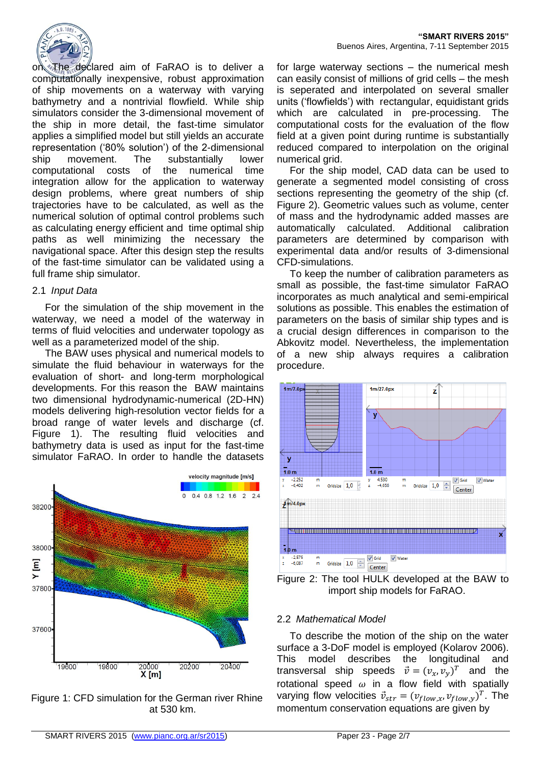

on. The declared aim of FaRAO is to deliver a computationally inexpensive, robust approximation of ship movements on a waterway with varying bathymetry and a nontrivial flowfield. While ship simulators consider the 3-dimensional movement of the ship in more detail, the fast-time simulator applies a simplified model but still yields an accurate representation ('80% solution') of the 2-dimensional ship movement. The substantially lower computational costs of the numerical time integration allow for the application to waterway design problems, where great numbers of ship trajectories have to be calculated, as well as the numerical solution of optimal control problems such as calculating energy efficient and time optimal ship paths as well minimizing the necessary the navigational space. After this design step the results of the fast-time simulator can be validated using a full frame ship simulator.

#### 2.1 *Input Data*

For the simulation of the ship movement in the waterway, we need a model of the waterway in terms of fluid velocities and underwater topology as well as a parameterized model of the ship.

The BAW uses physical and numerical models to simulate the fluid behaviour in waterways for the evaluation of short- and long-term morphological developments. For this reason the BAW maintains two dimensional hydrodynamic-numerical (2D-HN) models delivering high-resolution vector fields for a broad range of water levels and discharge (cf. Figure 1). The resulting fluid velocities and bathymetry data is used as input for the fast-time simulator FaRAO. In order to handle the datasets



Figure 1: CFD simulation for the German river Rhine at 530 km.

for large waterway sections – the numerical mesh can easily consist of millions of grid cells – the mesh is seperated and interpolated on several smaller units ('flowfields') with rectangular, equidistant grids which are calculated in pre-processing. The computational costs for the evaluation of the flow field at a given point during runtime is substantially reduced compared to interpolation on the original numerical grid.

For the ship model, CAD data can be used to generate a segmented model consisting of cross sections representing the geometry of the ship (cf. Figure 2). Geometric values such as volume, center of mass and the hydrodynamic added masses are automatically calculated. Additional calibration parameters are determined by comparison with experimental data and/or results of 3-dimensional CFD-simulations.

To keep the number of calibration parameters as small as possible, the fast-time simulator FaRAO incorporates as much analytical and semi-empirical solutions as possible. This enables the estimation of parameters on the basis of similar ship types and is a crucial design differences in comparison to the Abkovitz model. Nevertheless, the implementation of a new ship always requires a calibration procedure.



Figure 2: The tool HULK developed at the BAW to import ship models for FaRAO.

# 2.2 *Mathematical Model*

To describe the motion of the ship on the water surface a 3-DoF model is employed (Kolarov 2006). This model describes the longitudinal and transversal ship speeds  $\vec{v} = (v_x, v_y)^T$  and the rotational speed  $\omega$  in a flow field with spatially varying flow velocities  $\vec{v}_{str} = (v_{flow,x}, v_{flow,y})^T$ . The momentum conservation equations are given by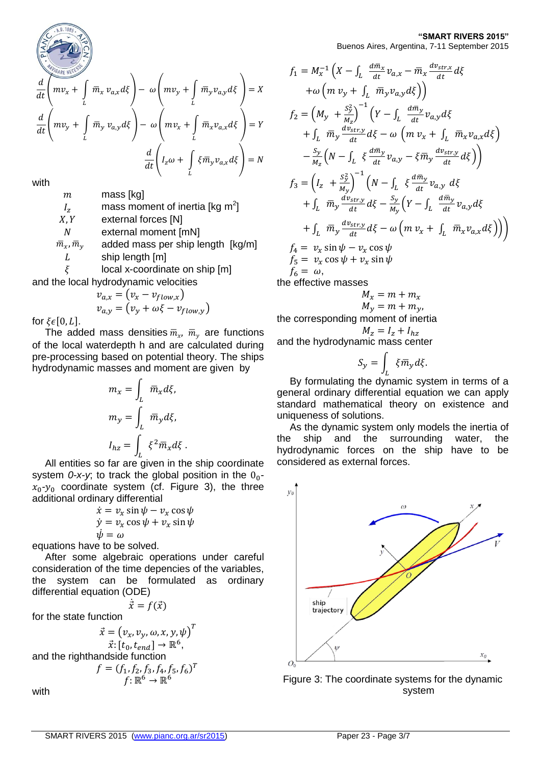$$
\begin{pmatrix}\n\ddots & \ddots & \ddots & \ddots \\
\hline\n\ddots & \ddots & \ddots & \ddots \\
\hline\n\ddots & \ddots & \ddots & \ddots \\
\hline\n\ddots & \ddots & \ddots & \ddots \\
\hline\n\ddots & \ddots & \ddots & \ddots \\
\hline\n\ddots & \ddots & \ddots & \ddots \\
\hline\n\ddots & \ddots & \ddots & \ddots \\
\hline\n\ddots & \ddots & \ddots & \ddots \\
\hline\n\ddots & \ddots & \ddots & \ddots \\
\hline\n\ddots & \ddots & \ddots & \ddots \\
\hline\n\ddots & \ddots & \ddots & \ddots \\
\hline\n\ddots & \ddots & \ddots & \ddots \\
\hline\n\ddots & \ddots & \ddots & \ddots \\
\hline\n\ddots & \ddots & \ddots & \ddots \\
\hline\n\ddots & \ddots & \ddots & \ddots \\
\hline\n\ddots & \ddots & \ddots & \ddots \\
\hline\n\ddots & \ddots & \ddots & \ddots \\
\hline\n\ddots & \ddots & \ddots & \ddots \\
\hline\n\ddots & \ddots & \ddots & \ddots \\
\hline\n\ddots & \ddots & \ddots & \ddots \\
\hline\n\ddots & \ddots & \ddots & \ddots \\
\hline\n\ddots & \ddots & \ddots & \ddots \\
\hline\n\ddots & \ddots & \ddots & \ddots \\
\hline\n\ddots & \ddots & \ddots & \ddots \\
\hline\n\ddots & \ddots & \ddots & \ddots \\
\hline\n\ddots & \ddots & \ddots & \ddots \\
\hline\n\ddots & \ddots & \ddots & \ddots \\
\hline\n\ddots & \ddots & \ddots & \ddots \\
\hline\n\ddots & \ddots & \ddots & \ddots \\
\hline\n\ddots & \ddots & \ddots & \ddots \\
\hline\n\ddots & \ddots & \ddots & \ddots \\
\hline\n\ddots & \ddots & \ddots & \ddots \\
\hline\n\ddots & \ddots & \ddots & \ddots \\
\hline\n\ddots & \ddots & \ddots & \ddots \\
\hline\n\ddots & \ddots & \ddots & \ddots \\
\hline\n\ddots & \ddots & \ddots & \ddots \\
\hline\n\ddots & \ddots & \ddots & \ddots \\
\hline\n\ddots & \ddots & \ddots & \
$$

$$
\frac{d}{dt}\left(mv_x + \int_L \overline{m}_x v_{a,x} d\xi\right) - \omega \left(mv_y + \int_L \overline{m}_y v_{a,y} d\xi\right) = X
$$
\n
$$
\frac{d}{dt}\left(mv_y + \int_L \overline{m}_y v_{a,y} d\xi\right) - \omega \left(mv_x + \int_L \overline{m}_x v_{a,x} d\xi\right) = Y
$$
\n
$$
\frac{d}{dt}\left(I_z \omega + \int_L \xi \overline{m}_y v_{a,x} d\xi\right) = N
$$

with

 $m$  mass [kg]

 $I_z$  mass moment of inertia [kg m<sup>2</sup>]

 $X, Y$  external forces [N]

external moment [mN]

 $\bar{m}_{x}$ ,  $\bar{m}_{y}$  added mass per ship length [kg/m]  $L \qquad \text{ship length [m]}$ 

 $\xi$  local x-coordinate on ship [m] and the local hydrodynamic velocities

$$
v_{a,x} = (v_x - v_{flow,x})
$$
  

$$
v_{a,y} = (v_y + \omega\xi - v_{flow,y})
$$

for  $\xi \in [0, L]$ .

The added mass densities  $\overline{m}_{x}$ ,  $\overline{m}_{y}$  are functions of the local waterdepth h and are calculated during pre-processing based on potential theory. The ships hydrodynamic masses and moment are given by

$$
m_x = \int_L \overline{m}_x d\xi,
$$
  

$$
m_y = \int_L \overline{m}_y d\xi,
$$
  

$$
I_{hz} = \int_L \xi^2 \overline{m}_x d\xi.
$$

All entities so far are given in the ship coordinate system  $0-x-y$ ; to track the global position in the  $0<sub>0</sub>$  $x_0$ - $y_0$  coordinate system (cf. Figure 3), the three additional ordinary differential

$$
\dot{x} = v_x \sin \psi - v_x \cos \psi \n\dot{y} = v_x \cos \psi + v_x \sin \psi \n\dot{\psi} = \omega
$$

equations have to be solved.

After some algebraic operations under careful consideration of the time depencies of the variables, the system can be formulated as ordinary differential equation (ODE)  $\dot{\vec{x}} = f(\vec{x})$ 

for the state function

$$
\vec{x} = (v_x, v_y, \omega, x, y, \psi)^T
$$

$$
\vec{x} : [t_0, t_{end}] \rightarrow \mathbb{R}^6,
$$
  
and the righthandside function  

$$
f = (f_1, f_2, f_3, f_4, f_5, f_6)^T
$$

$$
f: \mathbb{R}^6 \rightarrow \mathbb{R}^6
$$

with

#### **"SMART RIVERS 2015"** Buenos Aires, Argentina, 7-11 September 2015

$$
f_1 = M_x^{-1} \left( X - \int_L \frac{d\bar{m}_x}{dt} v_{a,x} - \bar{m}_x \frac{d\bar{v}_{str,x}}{dt} d\xi
$$
  
\n
$$
+ \omega \left( m v_y + \int_L \bar{m}_y v_{a,y} d\xi \right) \right)
$$
  
\n
$$
f_2 = \left( M_y + \frac{S_y^2}{M_z} \right)^{-1} \left( Y - \int_L \frac{d\bar{m}_y}{dt} v_{a,y} d\xi
$$
  
\n
$$
+ \int_L \bar{m}_y \frac{d\bar{v}_{str,y}}{dt} d\xi - \omega \left( m v_x + \int_L \bar{m}_x v_{a,x} d\xi \right)
$$
  
\n
$$
- \frac{S_y}{M_z} \left( N - \int_L \xi \frac{d\bar{m}_y}{dt} v_{a,y} - \xi \bar{m}_y \frac{d\bar{v}_{str,y}}{dt} d\xi \right) \right)
$$
  
\n
$$
f_3 = \left( I_z + \frac{S_y^2}{M_y} \right)^{-1} \left( N - \int_L \xi \frac{d\bar{m}_y}{dt} v_{a,y} d\xi
$$
  
\n
$$
+ \int_L \bar{m}_y \frac{d\bar{v}_{str,y}}{dt} d\xi - \frac{S_y}{M_y} \left( Y - \int_L \frac{d\bar{m}_y}{dt} v_{a,y} d\xi
$$
  
\n
$$
+ \int_L \bar{m}_y \frac{d\bar{v}_{str,y}}{dt} d\xi - \omega \left( m v_x + \int_L \bar{m}_x v_{a,x} d\xi \right) \right) \right)
$$
  
\n
$$
f_4 = v_x \sin \psi - v_x \cos \psi
$$
  
\n
$$
f_5 = v_x \cos \psi + v_x \sin \psi
$$
  
\n
$$
f_6 = \omega,
$$
  
\ne effective masses

the effective mas

$$
M_x = m + m_x
$$
  

$$
M_y = m + m_y,
$$

the corresponding moment of inertia  $M_{z} = I_{z} + I_{hz}$ 

and the hydrodynamic mass center

$$
S_{y} = \int_{L} \xi \overline{m}_{y} d\xi.
$$

By formulating the dynamic system in terms of a general ordinary differential equation we can apply standard mathematical theory on existence and uniqueness of solutions.

As the dynamic system only models the inertia of the ship and the surrounding water, the hydrodynamic forces on the ship have to be considered as external forces.



Figure 3: The coordinate systems for the dynamic system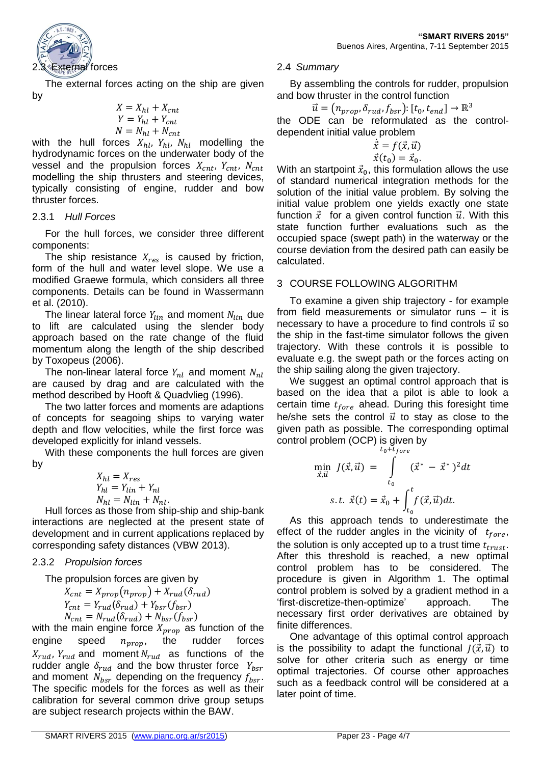

The external forces acting on the ship are given by

$$
X = X_{hl} + X_{cnt}
$$
  
\n
$$
Y = Y_{hl} + Y_{cnt}
$$
  
\n
$$
N = N_{hl} + N_{cnt}
$$

with the hull forces  $X_{hl}$ ,  $Y_{hl}$ ,  $N_{hl}$  modelling the hydrodynamic forces on the underwater body of the vessel and the propulsion forces  $X_{cnt}$ ,  $Y_{cnt}$ ,  $N_{cnt}$ modelling the ship thrusters and steering devices, typically consisting of engine, rudder and bow thruster forces.

# 2.3.1 *Hull Forces*

For the hull forces, we consider three different components:

The ship resistance  $X_{res}$  is caused by friction, form of the hull and water level slope. We use a modified Graewe formula, which considers all three components. Details can be found in Wassermann et al. (2010).

The linear lateral force  $Y_{lin}$  and moment  $N_{lin}$  due to lift are calculated using the slender body approach based on the rate change of the fluid momentum along the length of the ship described by Toxopeus (2006).

The non-linear lateral force  $Y_{nl}$  and moment  $N_{nl}$ are caused by drag and are calculated with the method described by Hooft & Quadvlieg (1996).

The two latter forces and moments are adaptions of concepts for seagoing ships to varying water depth and flow velocities, while the first force was developed explicitly for inland vessels.

With these components the hull forces are given by

> $X_{hl} = X_{res}$  $Y_{hl} = Y_{lin} + Y_{nl}$  $N_{hl} = N_{lin} + N_{nl}.$

Hull forces as those from ship-ship and ship-bank interactions are neglected at the present state of development and in current applications replaced by corresponding safety distances (VBW 2013).

# 2.3.2 *Propulsion forces*

The propulsion forces are given by

$$
X_{cnt} = X_{prop}(n_{prop}) + X_{rud}(\delta_{rud})
$$
  
\n
$$
Y_{cnt} = Y_{rud}(\delta_{rud}) + Y_{bsr}(f_{bsr})
$$
  
\n
$$
N = N \cdot (\delta \cdot) + N \cdot (f \cdot)
$$

 $N_{cnt} = N_{rud}(O_{rud}) + N_{bsr}(f_{bsr})$ with the main engine force  $X_{prop}$  as function of the engine speed  $n_{prop}$ , the rudder forces  $X_{rud}$ ,  $Y_{rud}$  and moment  $N_{rud}$  as functions of the rudder angle  $\delta_{rud}$  and the bow thruster force  $Y_{bsr}$ and moment  $N_{bsr}$  depending on the frequency  $f_{bsr}$ . The specific models for the forces as well as their calibration for several common drive group setups are subject research projects within the BAW.

# 2.4 *Summary*

By assembling the controls for rudder, propulsion and bow thruster in the control function

$$
\vec{u} = (n_{prop}, \delta_{rud}, f_{bsr}) : [t_0, t_{end}] \rightarrow \mathbb{R}^3
$$

the ODE can be reformulated as the controldependent initial value problem

$$
\dot{\vec{x}} = f(\vec{x}, \vec{u})
$$
  

$$
\vec{x}(t_0) = \vec{x}_0.
$$

With an startpoint  $\vec{x}_0$ , this formulation allows the use of standard numerical integration methods for the solution of the initial value problem. By solving the initial value problem one yields exactly one state function  $\vec{x}$  for a given control function  $\vec{u}$ . With this state function further evaluations such as the occupied space (swept path) in the waterway or the course deviation from the desired path can easily be calculated.

# 3 COURSE FOLLOWING ALGORITHM

To examine a given ship trajectory - for example from field measurements or simulator runs – it is necessary to have a procedure to find controls  $\vec{u}$  so the ship in the fast-time simulator follows the given trajectory. With these controls it is possible to evaluate e.g. the swept path or the forces acting on the ship sailing along the given trajectory.

We suggest an optimal control approach that is based on the idea that a pilot is able to look a certain time  $t_{fore}$  ahead. During this foresight time he/she sets the control  $\vec{u}$  to stay as close to the given path as possible. The corresponding optimal control problem (OCP) is given by

$$
\min_{\vec{x}, \vec{u}} J(\vec{x}, \vec{u}) = \int_{t_0}^{t_0 + t_{fore}} (\vec{x}^* - \vec{x}^*)^2 dt
$$
  
s.t.  $\vec{x}(t) = \vec{x}_0 + \int_{t_0}^t f(\vec{x}, \vec{u}) dt$ .

As this approach tends to underestimate the effect of the rudder angles in the vicinity of  $t_{fore}$ , the solution is only accepted up to a trust time  $t_{trust}$ . After this threshold is reached, a new optimal control problem has to be considered. The procedure is given in Algorithm 1. The optimal control problem is solved by a gradient method in a 'first-discretize-then-optimize' approach. The necessary first order derivatives are obtained by finite differences.

One advantage of this optimal control approach is the possibility to adapt the functional  $J(\vec{x}, \vec{u})$  to solve for other criteria such as energy or time optimal trajectories. Of course other approaches such as a feedback control will be considered at a later point of time.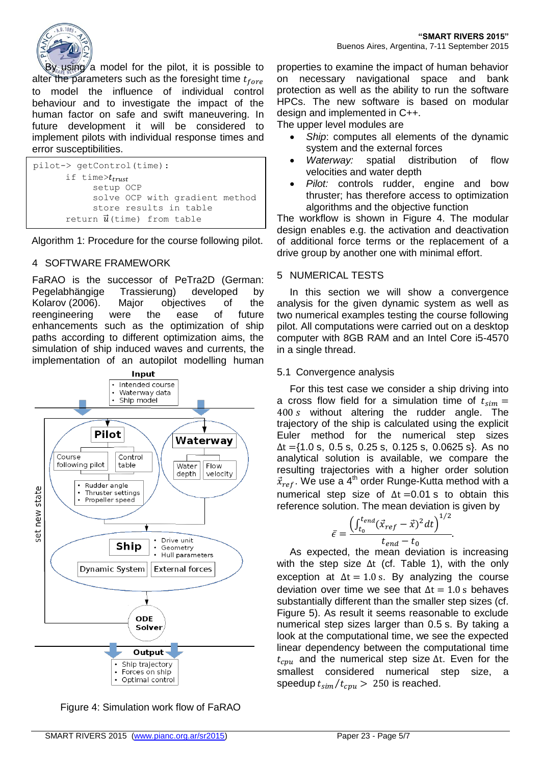

By using a model for the pilot, it is possible to alter the parameters such as the foresight time  $t_{fore}$ to model the influence of individual control behaviour and to investigate the impact of the human factor on safe and swift maneuvering. In future development it will be considered to implement pilots with individual response times and error susceptibilities.

```
pilot-> getControl(time):
      if time>t_{trust} setup OCP
             solve OCP with gradient method
             store results in table
       return \vec{u} (time) from table
```
Algorithm 1: Procedure for the course following pilot.

# 4 SOFTWARE FRAMEWORK

FaRAO is the successor of PeTra2D (German: Pegelabhängige Trassierung) developed by Kolarov (2006). Major objectives of the reengineering were the ease of future enhancements such as the optimization of ship paths according to different optimization aims, the simulation of ship induced waves and currents, the implementation of an autopilot modelling human



Figure 4: Simulation work flow of FaRAO

properties to examine the impact of human behavior on necessary navigational space and bank protection as well as the ability to run the software HPCs. The new software is based on modular design and implemented in C++.

The upper level modules are

- *Ship*: computes all elements of the dynamic system and the external forces
- *Waterway:* spatial distribution of flow velocities and water depth
- *Pilot:* controls rudder, engine and bow thruster; has therefore access to optimization algorithms and the objective function

The workflow is shown in Figure 4. The modular design enables e.g. the activation and deactivation of additional force terms or the replacement of a drive group by another one with minimal effort.

#### 5 NUMERICAL TESTS

In this section we will show a convergence analysis for the given dynamic system as well as two numerical examples testing the course following pilot. All computations were carried out on a desktop computer with 8GB RAM and an Intel Core i5-4570 in a single thread.

#### 5.1 Convergence analysis

For this test case we consider a ship driving into a cross flow field for a simulation time of  $t_{sim}$  =  $400 s$  without altering the rudder angle. The trajectory of the ship is calculated using the explicit Euler method for the numerical step sizes  $\Delta t =$ {1.0 s, 0.5 s, 0.25 s, 0.125 s, 0.0625 s}. As no analytical solution is available, we compare the resulting trajectories with a higher order solution  $\vec{x}_{ref}$ . We use a 4<sup>th</sup> order Runge-Kutta method with a numerical step size of  $\Delta t = 0.01$  s to obtain this reference solution. The mean deviation is given by

$$
\bar{\epsilon} = \frac{\left(\int_{t_0}^{t_{end}} (\vec{x}_{ref} - \vec{x})^2 dt\right)^{1/2}}{t_{end} - t_0}.
$$

As expected, the mean deviation is increasing with the step size Δt (cf. Table 1), with the only exception at  $\Delta t = 1.0$  s. By analyzing the course deviation over time we see that  $\Delta t = 1.0$  s behaves substantially different than the smaller step sizes (cf. Figure 5). As result it seems reasonable to exclude numerical step sizes larger than 0.5 s. By taking a look at the computational time, we see the expected linear dependency between the computational time  $t_{cmu}$  and the numerical step size  $\Delta t$ . Even for the smallest considered numerical step size, a speedup  $t_{sim}/t_{cpu} > 250$  is reached.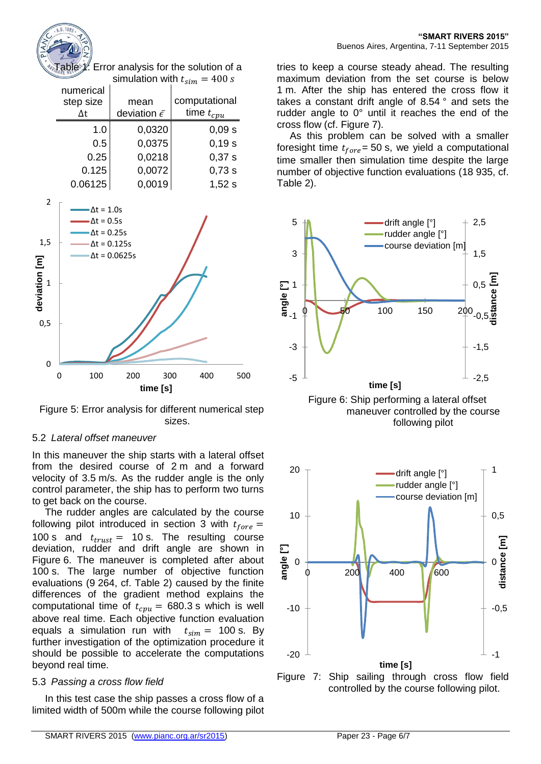

Table *1*: Error analysis for the solution of a  $\sin(10^{10} - 400)$ 

| <u>Siiliulauvii Willi</u><br>$t_{sim}$ – TUU S |                            |                |  |  |
|------------------------------------------------|----------------------------|----------------|--|--|
| numerical                                      |                            |                |  |  |
| step size                                      | mean                       | computational  |  |  |
|                                                | deviation $\bar{\epsilon}$ | time $t_{cpu}$ |  |  |
| 1.0                                            | 0,0320                     | 0,09s          |  |  |
| 0.5                                            | 0,0375                     | 0,19s          |  |  |
| 0.25                                           | 0,0218                     | 0,37s          |  |  |
| 0.125                                          | 0,0072                     | 0,73 s         |  |  |
| 0.06125                                        | 0,0019                     | 1,52s          |  |  |



Figure 5: Error analysis for different numerical step sizes.

# 5.2 *Lateral offset maneuver*

In this maneuver the ship starts with a lateral offset from the desired course of 2 m and a forward velocity of 3.5 m/s. As the rudder angle is the only control parameter, the ship has to perform two turns to get back on the course.

The rudder angles are calculated by the course following pilot introduced in section 3 with  $t_{fore}$  = 100 s and  $t_{trust} = 10$  s. The resulting course deviation, rudder and drift angle are shown in Figure 6. The maneuver is completed after about 100 s. The large number of objective function evaluations (9 264, cf. Table 2) caused by the finite differences of the gradient method explains the computational time of  $t_{cpu} = 680.3$  s which is well above real time. Each objective function evaluation equals a simulation run with  $t_{sim}$  = 100 s. By further investigation of the optimization procedure it should be possible to accelerate the computations beyond real time.

# 5.3 *Passing a cross flow field*

In this test case the ship passes a cross flow of a limited width of 500m while the course following pilot tries to keep a course steady ahead. The resulting maximum deviation from the set course is below 1 m. After the ship has entered the cross flow it takes a constant drift angle of 8.54 ° and sets the rudder angle to 0° until it reaches the end of the cross flow (cf. Figure 7).

As this problem can be solved with a smaller foresight time  $t_{fore}$  = 50 s, we yield a computational time smaller then simulation time despite the large number of objective function evaluations (18 935, cf. Table 2).



Figure 6: Ship performing a lateral offset maneuver controlled by the course following pilot



Figure 7: Ship sailing through cross flow field controlled by the course following pilot.